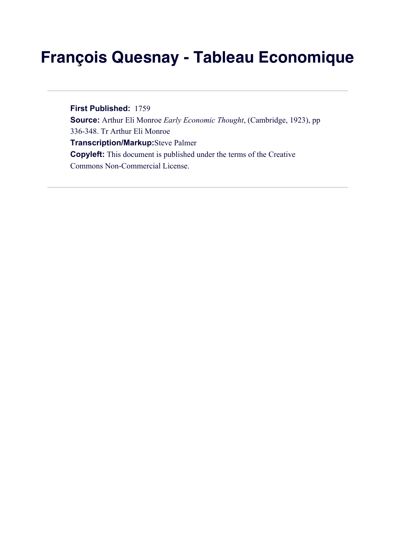## **François Quesnay - Tableau Economique**

**First Published:** 1759 **Source:** Arthur Eli Monroe *Early Economic Thought*, (Cambridge, 1923), pp 336-348. Tr Arthur Eli Monroe **Transcription/Markup:**Steve Palmer **Copyleft:** This document is published under the terms of the Creative Commons Non-Commercial License.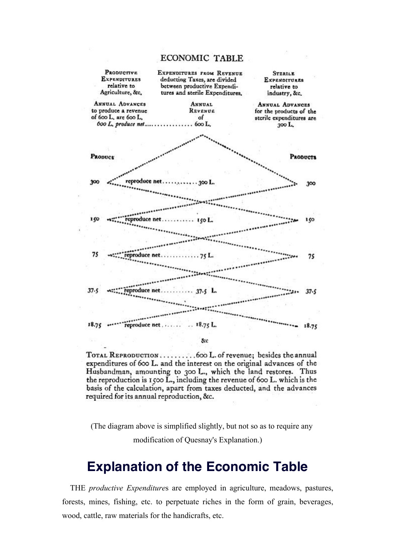## ECONOMIC TABLE



TOTAL REPRODUCTION..........600 L. of revenue; besides the annual expenditures of 600 L. and the interest on the original advances of the Husbandman, amounting to 300 L., which the land restores. Thus the reproduction is 1500 L., including the revenue of 600 L. which is the basis of the calculation, apart from taxes deducted, and the advances required for its annual reproduction, &c.

(The diagram above is simplified slightly, but not so as to require any modification of Quesnay's Explanation.)

## **Explanation of the Economic Table**

THE *productive Expenditure*s are employed in agriculture, meadows, pastures, forests, mines, fishing, etc. to perpetuate riches in the form of grain, beverages, wood, cattle, raw materials for the handicrafts, etc.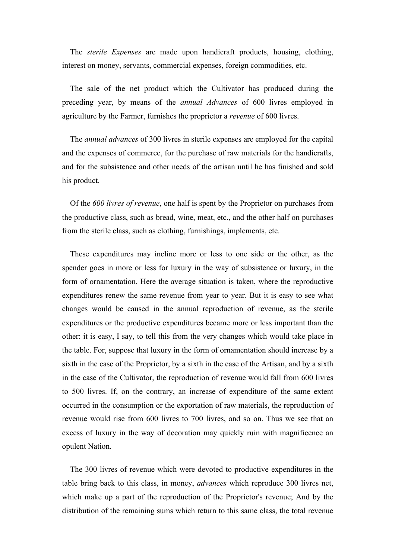The *sterile Expenses* are made upon handicraft products, housing, clothing, interest on money, servants, commercial expenses, foreign commodities, etc.

The sale of the net product which the Cultivator has produced during the preceding year, by means of the *annual Advances* of 600 livres employed in agriculture by the Farmer, furnishes the proprietor a *revenue* of 600 livres.

The *annual advances* of 300 livres in sterile expenses are employed for the capital and the expenses of commerce, for the purchase of raw materials for the handicrafts, and for the subsistence and other needs of the artisan until he has finished and sold his product.

Of the *600 livres of revenue*, one half is spent by the Proprietor on purchases from the productive class, such as bread, wine, meat, etc., and the other half on purchases from the sterile class, such as clothing, furnishings, implements, etc.

These expenditures may incline more or less to one side or the other, as the spender goes in more or less for luxury in the way of subsistence or luxury, in the form of ornamentation. Here the average situation is taken, where the reproductive expenditures renew the same revenue from year to year. But it is easy to see what changes would be caused in the annual reproduction of revenue, as the sterile expenditures or the productive expenditures became more or less important than the other: it is easy, I say, to tell this from the very changes which would take place in the table. For, suppose that luxury in the form of ornamentation should increase by a sixth in the case of the Proprietor, by a sixth in the case of the Artisan, and by a sixth in the case of the Cultivator, the reproduction of revenue would fall from 600 livres to 500 livres. If, on the contrary, an increase of expenditure of the same extent occurred in the consumption or the exportation of raw materials, the reproduction of revenue would rise from 600 livres to 700 livres, and so on. Thus we see that an excess of luxury in the way of decoration may quickly ruin with magnificence an opulent Nation.

The 300 livres of revenue which were devoted to productive expenditures in the table bring back to this class, in money, *advances* which reproduce 300 livres net, which make up a part of the reproduction of the Proprietor's revenue; And by the distribution of the remaining sums which return to this same class, the total revenue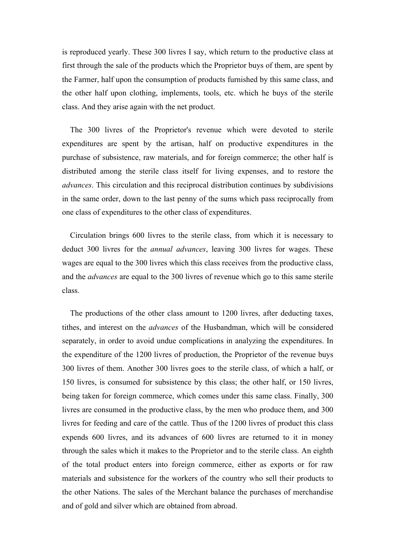is reproduced yearly. These 300 livres I say, which return to the productive class at first through the sale of the products which the Proprietor buys of them, are spent by the Farmer, half upon the consumption of products furnished by this same class, and the other half upon clothing, implements, tools, etc. which he buys of the sterile class. And they arise again with the net product.

The 300 livres of the Proprietor's revenue which were devoted to sterile expenditures are spent by the artisan, half on productive expenditures in the purchase of subsistence, raw materials, and for foreign commerce; the other half is distributed among the sterile class itself for living expenses, and to restore the *advances*. This circulation and this reciprocal distribution continues by subdivisions in the same order, down to the last penny of the sums which pass reciprocally from one class of expenditures to the other class of expenditures.

Circulation brings 600 livres to the sterile class, from which it is necessary to deduct 300 livres for the *annual advances*, leaving 300 livres for wages. These wages are equal to the 300 livres which this class receives from the productive class, and the *advances* are equal to the 300 livres of revenue which go to this same sterile class.

The productions of the other class amount to 1200 livres, after deducting taxes, tithes, and interest on the *advances* of the Husbandman, which will be considered separately, in order to avoid undue complications in analyzing the expenditures. In the expenditure of the 1200 livres of production, the Proprietor of the revenue buys 300 livres of them. Another 300 livres goes to the sterile class, of which a half, or 150 livres, is consumed for subsistence by this class; the other half, or 150 livres, being taken for foreign commerce, which comes under this same class. Finally, 300 livres are consumed in the productive class, by the men who produce them, and 300 livres for feeding and care of the cattle. Thus of the 1200 livres of product this class expends 600 livres, and its advances of 600 livres are returned to it in money through the sales which it makes to the Proprietor and to the sterile class. An eighth of the total product enters into foreign commerce, either as exports or for raw materials and subsistence for the workers of the country who sell their products to the other Nations. The sales of the Merchant balance the purchases of merchandise and of gold and silver which are obtained from abroad.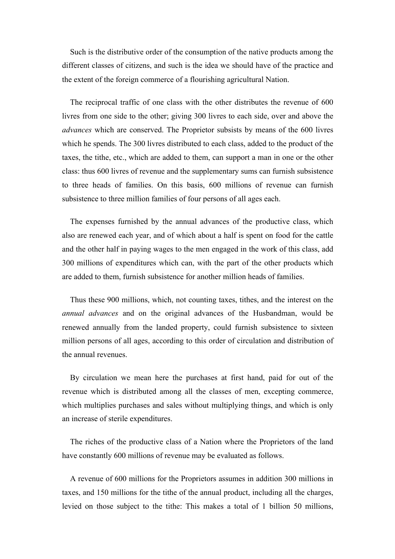Such is the distributive order of the consumption of the native products among the different classes of citizens, and such is the idea we should have of the practice and the extent of the foreign commerce of a flourishing agricultural Nation.

The reciprocal traffic of one class with the other distributes the revenue of 600 livres from one side to the other; giving 300 livres to each side, over and above the *advances* which are conserved. The Proprietor subsists by means of the 600 livres which he spends. The 300 livres distributed to each class, added to the product of the taxes, the tithe, etc., which are added to them, can support a man in one or the other class: thus 600 livres of revenue and the supplementary sums can furnish subsistence to three heads of families. On this basis, 600 millions of revenue can furnish subsistence to three million families of four persons of all ages each.

The expenses furnished by the annual advances of the productive class, which also are renewed each year, and of which about a half is spent on food for the cattle and the other half in paying wages to the men engaged in the work of this class, add 300 millions of expenditures which can, with the part of the other products which are added to them, furnish subsistence for another million heads of families.

Thus these 900 millions, which, not counting taxes, tithes, and the interest on the *annual advances* and on the original advances of the Husbandman, would be renewed annually from the landed property, could furnish subsistence to sixteen million persons of all ages, according to this order of circulation and distribution of the annual revenues.

By circulation we mean here the purchases at first hand, paid for out of the revenue which is distributed among all the classes of men, excepting commerce, which multiplies purchases and sales without multiplying things, and which is only an increase of sterile expenditures.

The riches of the productive class of a Nation where the Proprietors of the land have constantly 600 millions of revenue may be evaluated as follows.

A revenue of 600 millions for the Proprietors assumes in addition 300 millions in taxes, and 150 millions for the tithe of the annual product, including all the charges, levied on those subject to the tithe: This makes a total of 1 billion 50 millions,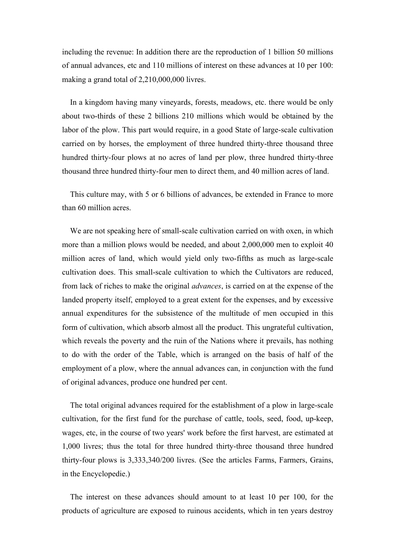including the revenue: In addition there are the reproduction of 1 billion 50 millions of annual advances, etc and 110 millions of interest on these advances at 10 per 100: making a grand total of 2,210,000,000 livres.

In a kingdom having many vineyards, forests, meadows, etc. there would be only about two-thirds of these 2 billions 210 millions which would be obtained by the labor of the plow. This part would require, in a good State of large-scale cultivation carried on by horses, the employment of three hundred thirty-three thousand three hundred thirty-four plows at no acres of land per plow, three hundred thirty-three thousand three hundred thirty-four men to direct them, and 40 million acres of land.

This culture may, with 5 or 6 billions of advances, be extended in France to more than 60 million acres.

We are not speaking here of small-scale cultivation carried on with oxen, in which more than a million plows would be needed, and about 2,000,000 men to exploit 40 million acres of land, which would yield only two-fifths as much as large-scale cultivation does. This small-scale cultivation to which the Cultivators are reduced, from lack of riches to make the original *advances*, is carried on at the expense of the landed property itself, employed to a great extent for the expenses, and by excessive annual expenditures for the subsistence of the multitude of men occupied in this form of cultivation, which absorb almost all the product. This ungrateful cultivation, which reveals the poverty and the ruin of the Nations where it prevails, has nothing to do with the order of the Table, which is arranged on the basis of half of the employment of a plow, where the annual advances can, in conjunction with the fund of original advances, produce one hundred per cent.

The total original advances required for the establishment of a plow in large-scale cultivation, for the first fund for the purchase of cattle, tools, seed, food, up-keep, wages, etc, in the course of two years' work before the first harvest, are estimated at 1,000 livres; thus the total for three hundred thirty-three thousand three hundred thirty-four plows is 3,333,340/200 livres. (See the articles Farms, Farmers, Grains, in the Encyclopedie.)

The interest on these advances should amount to at least 10 per 100, for the products of agriculture are exposed to ruinous accidents, which in ten years destroy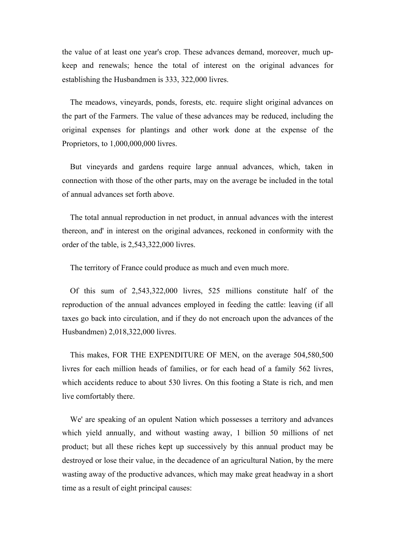the value of at least one year's crop. These advances demand, moreover, much upkeep and renewals; hence the total of interest on the original advances for establishing the Husbandmen is 333, 322,000 livres.

The meadows, vineyards, ponds, forests, etc. require slight original advances on the part of the Farmers. The value of these advances may be reduced, including the original expenses for plantings and other work done at the expense of the Proprietors, to 1,000,000,000 livres.

But vineyards and gardens require large annual advances, which, taken in connection with those of the other parts, may on the average be included in the total of annual advances set forth above.

The total annual reproduction in net product, in annual advances with the interest thereon, and' in interest on the original advances, reckoned in conformity with the order of the table, is 2,543,322,000 livres.

The territory of France could produce as much and even much more.

Of this sum of 2,543,322,000 livres, 525 millions constitute half of the reproduction of the annual advances employed in feeding the cattle: leaving (if all taxes go back into circulation, and if they do not encroach upon the advances of the Husbandmen) 2,018,322,000 livres.

This makes, FOR THE EXPENDITURE OF MEN, on the average 504,580,500 livres for each million heads of families, or for each head of a family 562 livres, which accidents reduce to about 530 livres. On this footing a State is rich, and men live comfortably there.

We' are speaking of an opulent Nation which possesses a territory and advances which yield annually, and without wasting away, 1 billion 50 millions of net product; but all these riches kept up successively by this annual product may be destroyed or lose their value, in the decadence of an agricultural Nation, by the mere wasting away of the productive advances, which may make great headway in a short time as a result of eight principal causes: